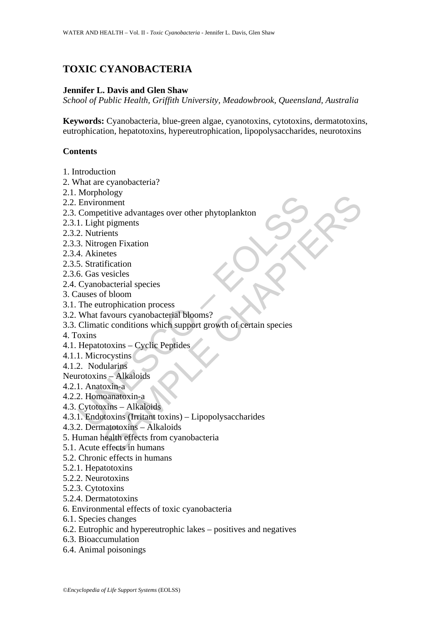# **TOXIC CYANOBACTERIA**

# **Jennifer L. Davis and Glen Shaw**

*School of Public Health, Griffith University, Meadowbrook, Queensland, Australia*

**Keywords:** Cyanobacteria, blue-green algae, cyanotoxins, cytotoxins, dermatotoxins, eutrophication, hepatotoxins, hypereutrophication, lipopolysaccharides, neurotoxins

#### **Contents**

- 1. Introduction
- 2. What are cyanobacteria?
- 2.1. Morphology
- 2.2. Environment
- 2.3. Competitive advantages over other phytoplankton
- 2.3.1. Light pigments
- 2.3.2. Nutrients
- 2.3.3. Nitrogen Fixation
- 2.3.4. Akinetes
- 2.3.5. Stratification
- 2.3.6. Gas vesicles
- 2.4. Cyanobacterial species
- 3. Causes of bloom
- 3.1. The eutrophication process
- 3.2. What favours cyanobacterial blooms?
- Environment<br>
Environment<br>
Competitive advantages over other phytoplankton<br>
1. Light pigments<br>
2. Nutrients<br>
2. Nutrients<br>
4. Akinetes<br>
5. Stratification<br>
4. Akinetes<br>
5. Stratification<br>
6. Gas vesicles<br>
Cyamobacterial spec biogy<br>
onment<br>
trivive advantages over other phytoplankton<br>
trivianents<br>
inclusion<br>
igen Fixation<br>
vescicles<br>
bacterial species<br>
bacterial species<br>
or the source syanobacterial blooms?<br>
ic conditions which support growth o 3.3. Climatic conditions which support growth of certain species
- 4. Toxins
- 4.1. Hepatotoxins Cyclic Peptides
- 4.1.1. Microcystins
- 4.1.2. Nodularins
- Neurotoxins Alkaloids
- 4.2.1. Anatoxin-a
- 4.2.2. Homoanatoxin-a
- 4.3. Cytotoxins Alkaloids
- 4.3.1. Endotoxins (Irritant toxins) Lipopolysaccharides
- 4.3.2. Dermatotoxins Alkaloids
- 5. Human health effects from cyanobacteria
- 5.1. Acute effects in humans
- 5.2. Chronic effects in humans
- 5.2.1. Hepatotoxins
- 5.2.2. Neurotoxins
- 5.2.3. Cytotoxins
- 5.2.4. Dermatotoxins
- 6. Environmental effects of toxic cyanobacteria
- 6.1. Species changes
- 6.2. Eutrophic and hypereutrophic lakes positives and negatives
- 6.3. Bioaccumulation
- 6.4. Animal poisonings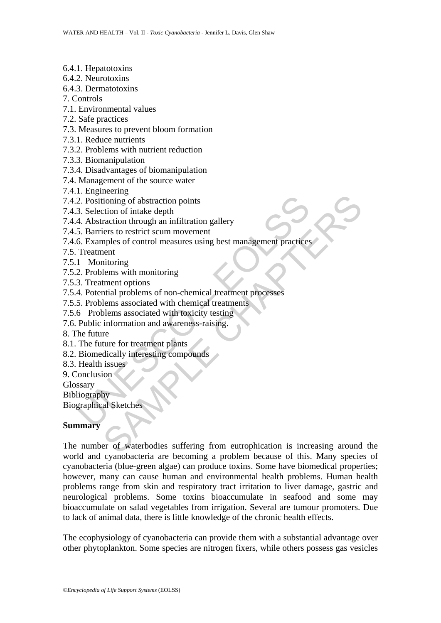- 6.4.1. Hepatotoxins
- 6.4.2. Neurotoxins
- 6.4.3. Dermatotoxins
- 7. Controls
- 7.1. Environmental values
- 7.2. Safe practices
- 7.3. Measures to prevent bloom formation
- 7.3.1. Reduce nutrients
- 7.3.2. Problems with nutrient reduction
- 7.3.3. Biomanipulation
- 7.3.4. Disadvantages of biomanipulation
- 7.4. Management of the source water
- 7.4.1. Engineering
- 7.4.2. Positioning of abstraction points
- 7.4.3. Selection of intake depth
- 7.4.4. Abstraction through an infiltration gallery
- 7.4.5. Barriers to restrict scum movement
- 2. Positioning of abstraction points<br>
3. Selection of intake depth<br>
4. Abstraction through an infiltration gallery<br>
5. Barriers to restrict scum movement<br>
5. Examples of control measures using best management practices<br>
6. 7.4.6. Examples of control measures using best management practices
- 7.5. Treatment
- 7.5.1 Monitoring
- 7.5.2. Problems with monitoring
- 7.5.3. Treatment options
- 7.5.4. Potential problems of non-chemical treatment processes
- 7.5.5. Problems associated with chemical treatments
- 7.5.6 Problems associated with toxicity testing
- 7.6. Public information and awareness-raising.
- 8. The future
- 8.1. The future for treatment plants
- 8.2. Biomedically interesting compounds
- 8.3. Health issues
- 9. Conclusion
- Glossary

Bibliography

Biographical Sketches

#### **Summary**

coming of abstraction points<br>
ioning of abstraction hrough an infiltration gallery<br>
raction through an infiltration gallery<br>
tiers to restrict scum movement<br>
replies of control measures using best management practices<br>
ele The number of waterbodies suffering from eutrophication is increasing around the world and cyanobacteria are becoming a problem because of this. Many species of cyanobacteria (blue-green algae) can produce toxins. Some have biomedical properties; however, many can cause human and environmental health problems. Human health problems range from skin and respiratory tract irritation to liver damage, gastric and neurological problems. Some toxins bioaccumulate in seafood and some may bioaccumulate on salad vegetables from irrigation. Several are tumour promoters. Due to lack of animal data, there is little knowledge of the chronic health effects.

The ecophysiology of cyanobacteria can provide them with a substantial advantage over other phytoplankton. Some species are nitrogen fixers, while others possess gas vesicles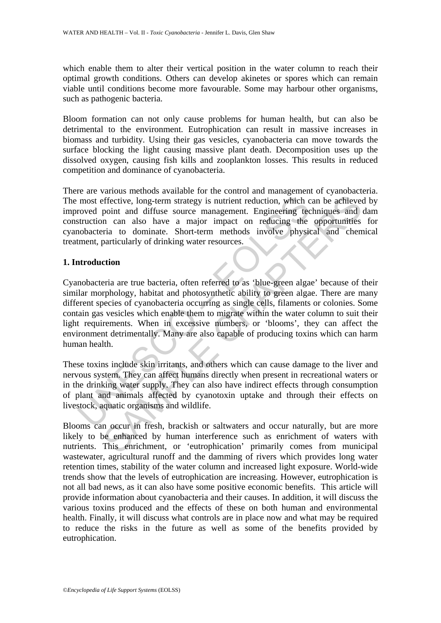which enable them to alter their vertical position in the water column to reach their optimal growth conditions. Others can develop akinetes or spores which can remain viable until conditions become more favourable. Some may harbour other organisms, such as pathogenic bacteria.

Bloom formation can not only cause problems for human health, but can also be detrimental to the environment. Eutrophication can result in massive increases in biomass and turbidity. Using their gas vesicles, cyanobacteria can move towards the surface blocking the light causing massive plant death. Decomposition uses up the dissolved oxygen, causing fish kills and zooplankton losses. This results in reduced competition and dominance of cyanobacteria.

There are various methods available for the control and management of cyanobacteria. The most effective, long-term strategy is nutrient reduction, which can be achieved by improved point and diffuse source management. Engineering techniques and dam construction can also have a major impact on reducing the opportunities for cyanobacteria to dominate. Short-term methods involve physical and chemical treatment, particularly of drinking water resources.

# **1. Introduction**

most effective, long-term strategy is nutrient reduction, which croved point and diffuse source management. Engineering technical to dominate. Short-term methods involve physical to dominate. Short-term methods involve phy effective, long-term strategy is nutrient reduction, which can be achieved point and diffuse source management. Engineering techniques and near also have a major impact on reducing the opportunities and near and obtained t Cyanobacteria are true bacteria, often referred to as 'blue-green algae' because of their similar morphology, habitat and photosynthetic ability to green algae. There are many different species of cyanobacteria occurring as single cells, filaments or colonies. Some contain gas vesicles which enable them to migrate within the water column to suit their light requirements. When in excessive numbers, or 'blooms', they can affect the environment detrimentally. Many are also capable of producing toxins which can harm human health.

These toxins include skin irritants, and others which can cause damage to the liver and nervous system. They can affect humans directly when present in recreational waters or in the drinking water supply. They can also have indirect effects through consumption of plant and animals affected by cyanotoxin uptake and through their effects on livestock, aquatic organisms and wildlife.

Blooms can occur in fresh, brackish or saltwaters and occur naturally, but are more likely to be enhanced by human interference such as enrichment of waters with nutrients. This enrichment, or 'eutrophication' primarily comes from municipal wastewater, agricultural runoff and the damming of rivers which provides long water retention times, stability of the water column and increased light exposure. World-wide trends show that the levels of eutrophication are increasing. However, eutrophication is not all bad news, as it can also have some positive economic benefits. This article will provide information about cyanobacteria and their causes. In addition, it will discuss the various toxins produced and the effects of these on both human and environmental health. Finally, it will discuss what controls are in place now and what may be required to reduce the risks in the future as well as some of the benefits provided by eutrophication.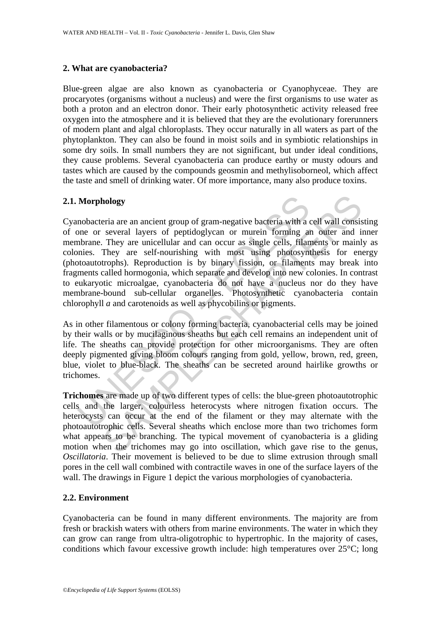#### **2. What are cyanobacteria?**

Blue-green algae are also known as cyanobacteria or Cyanophyceae. They are procaryotes (organisms without a nucleus) and were the first organisms to use water as both a proton and an electron donor. Their early photosynthetic activity released free oxygen into the atmosphere and it is believed that they are the evolutionary forerunners of modern plant and algal chloroplasts. They occur naturally in all waters as part of the phytoplankton. They can also be found in moist soils and in symbiotic relationships in some dry soils. In small numbers they are not significant, but under ideal conditions, they cause problems. Several cyanobacteria can produce earthy or musty odours and tastes which are caused by the compounds geosmin and methylisoborneol, which affect the taste and smell of drinking water. Of more importance, many also produce toxins.

# **2.1. Morphology**

Morphology<br>
mobacteria are an ancient group of gram-negative bacteria with a<br>
mobacteria are an ancient group of gram-negative bacteria with a<br>
mohema. They are unicellular and can occur as single cells, filam<br>
mohema. The hology<br>
peria are an ancient group of gram-negative bacteria with a cell wall consiseveral layers of peptidoglycan or murein forming an outer and in<br>
They are unicellular and can occur as single cells, filaments or main<br>
T Cyanobacteria are an ancient group of gram-negative bacteria with a cell wall consisting of one or several layers of peptidoglycan or murein forming an outer and inner membrane. They are unicellular and can occur as single cells, filaments or mainly as colonies. They are self-nourishing with most using photosynthesis for energy (photoautotrophs). Reproduction is by binary fission, or filaments may break into fragments called hormogonia, which separate and develop into new colonies. In contrast to eukaryotic microalgae, cyanobacteria do not have a nucleus nor do they have membrane-bound sub-cellular organelles. Photosynthetic cyanobacteria contain chlorophyll *a* and carotenoids as well as phycobilins or pigments.

As in other filamentous or colony forming bacteria, cyanobacterial cells may be joined by their walls or by mucilaginous sheaths but each cell remains an independent unit of life. The sheaths can provide protection for other microorganisms. They are often deeply pigmented giving bloom colours ranging from gold, yellow, brown, red, green, blue, violet to blue-black. The sheaths can be secreted around hairlike growths or trichomes.

**Trichomes** are made up of two different types of cells: the blue-green photoautotrophic cells and the larger, colourless heterocysts where nitrogen fixation occurs. The heterocysts can occur at the end of the filament or they may alternate with the photoautotrophic cells. Several sheaths which enclose more than two trichomes form what appears to be branching. The typical movement of cyanobacteria is a gliding motion when the trichomes may go into oscillation, which gave rise to the genus, *Oscillatoria*. Their movement is believed to be due to slime extrusion through small pores in the cell wall combined with contractile waves in one of the surface layers of the wall. The drawings in Figure 1 depict the various morphologies of cyanobacteria.

#### **2.2. Environment**

Cyanobacteria can be found in many different environments. The majority are from fresh or brackish waters with others from marine environments. The water in which they can grow can range from ultra-oligotrophic to hypertrophic. In the majority of cases, conditions which favour excessive growth include: high temperatures over 25°C; long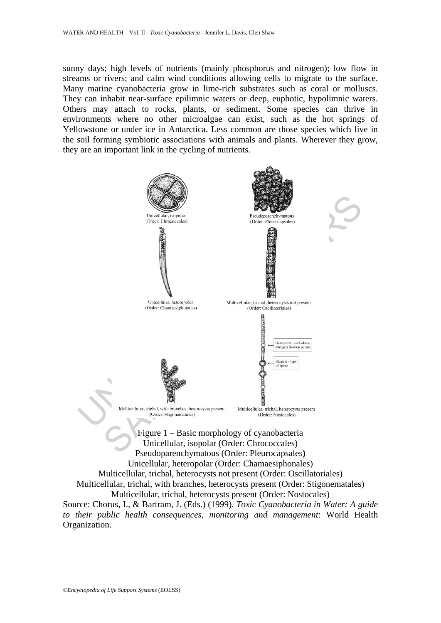sunny days; high levels of nutrients (mainly phosphorus and nitrogen); low flow in streams or rivers; and calm wind conditions allowing cells to migrate to the surface. Many marine cyanobacteria grow in lime-rich substrates such as coral or molluscs. They can inhabit near-surface epilimnic waters or deep, euphotic, hypolimnic waters. Others may attach to rocks, plants, or sediment. Some species can thrive in environments where no other microalgae can exist, such as the hot springs of Yellowstone or under ice in Antarctica. Less common are those species which live in the soil forming symbiotic associations with animals and plants. Wherever they grow, they are an important link in the cycling of nutrients.

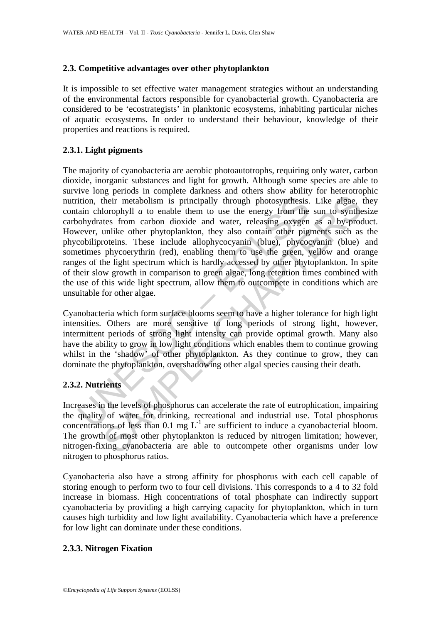# **2.3. Competitive advantages over other phytoplankton**

It is impossible to set effective water management strategies without an understanding of the environmental factors responsible for cyanobacterial growth. Cyanobacteria are considered to be 'ecostrategists' in planktonic ecosystems, inhabiting particular niches of aquatic ecosystems. In order to understand their behaviour, knowledge of their properties and reactions is required.

# **2.3.1. Light pigments**

ition, their metabolism is principally through photosynthesis.<br>
iain chlorophyll *a* to enable them to use the energy from the<br>
oohydrates from carbon dioxide and water, releasing oxygen<br>
wever, unlike other phytoplankton Their metabolism is principally through photosynthesis. Like afgae, lorophyll *a* to enable them to use the energy from the sun to synthetes from carbon doixide and water, releasing oxygen as a by-procedual unlike other ph The majority of cyanobacteria are aerobic photoautotrophs, requiring only water, carbon dioxide, inorganic substances and light for growth. Although some species are able to survive long periods in complete darkness and others show ability for heterotrophic nutrition, their metabolism is principally through photosynthesis. Like algae, they contain chlorophyll *a* to enable them to use the energy from the sun to synthesize carbohydrates from carbon dioxide and water, releasing oxygen as a by-product. However, unlike other phytoplankton, they also contain other pigments such as the phycobiliproteins. These include allophycocyanin (blue), phycocyanin (blue) and sometimes phycoerythrin (red), enabling them to use the green, yellow and orange ranges of the light spectrum which is hardly accessed by other phytoplankton. In spite of their slow growth in comparison to green algae, long retention times combined with the use of this wide light spectrum, allow them to outcompete in conditions which are unsuitable for other algae.

Cyanobacteria which form surface blooms seem to have a higher tolerance for high light intensities. Others are more sensitive to long periods of strong light, however, intermittent periods of strong light intensity can provide optimal growth. Many also have the ability to grow in low light conditions which enables them to continue growing whilst in the 'shadow' of other phytoplankton. As they continue to grow, they can dominate the phytoplankton, overshadowing other algal species causing their death.

# **2.3.2. Nutrients**

Increases in the levels of phosphorus can accelerate the rate of eutrophication, impairing the quality of water for drinking, recreational and industrial use. Total phosphorus concentrations of less than  $0.1 \text{ mg } L^{-1}$  are sufficient to induce a cyanobacterial bloom. The growth of most other phytoplankton is reduced by nitrogen limitation; however, nitrogen-fixing cyanobacteria are able to outcompete other organisms under low nitrogen to phosphorus ratios.

Cyanobacteria also have a strong affinity for phosphorus with each cell capable of storing enough to perform two to four cell divisions. This corresponds to a 4 to 32 fold increase in biomass. High concentrations of total phosphate can indirectly support cyanobacteria by providing a high carrying capacity for phytoplankton, which in turn causes high turbidity and low light availability. Cyanobacteria which have a preference for low light can dominate under these conditions.

#### **2.3.3. Nitrogen Fixation**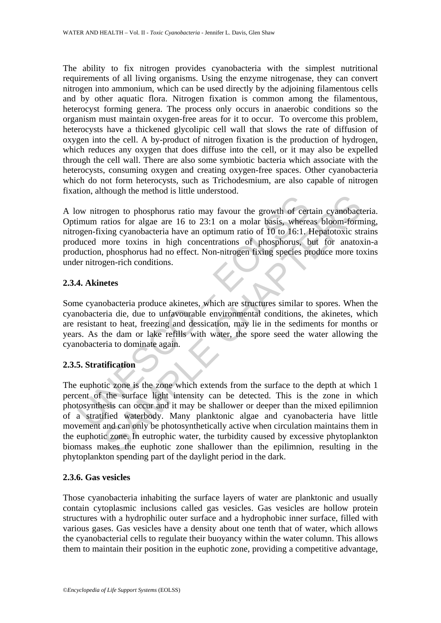The ability to fix nitrogen provides cyanobacteria with the simplest nutritional requirements of all living organisms. Using the enzyme nitrogenase, they can convert nitrogen into ammonium, which can be used directly by the adjoining filamentous cells and by other aquatic flora. Nitrogen fixation is common among the filamentous, heterocyst forming genera. The process only occurs in anaerobic conditions so the organism must maintain oxygen-free areas for it to occur. To overcome this problem, heterocysts have a thickened glycolipic cell wall that slows the rate of diffusion of oxygen into the cell. A by-product of nitrogen fixation is the production of hydrogen, which reduces any oxygen that does diffuse into the cell, or it may also be expelled through the cell wall. There are also some symbiotic bacteria which associate with the heterocysts, consuming oxygen and creating oxygen-free spaces. Other cyanobacteria which do not form heterocysts, such as Trichodesmium, are also capable of nitrogen fixation, although the method is little understood.

by mitrogen to phosphorus ratio may favour the growth of cert<br>imum ratios for algae are 16 to 23:1 on a molar basis, where-<br>gen-fixing cyanobacteria have an optimum ratio of 10 to 16:1.<br>Interded more toxins in high concent A low nitrogen to phosphorus ratio may favour the growth of certain cyanobacteria. Optimum ratios for algae are 16 to 23:1 on a molar basis, whereas bloom-forming, nitrogen-fixing cyanobacteria have an optimum ratio of 10 to 16:1. Hepatotoxic strains produced more toxins in high concentrations of phosphorus, but for anatoxin-a production, phosphorus had no effect. Non-nitrogen fixing species produce more toxins under nitrogen-rich conditions.

# **2.3.4. Akinetes**

Some cyanobacteria produce akinetes, which are structures similar to spores. When the cyanobacteria die, due to unfavourable environmental conditions, the akinetes, which are resistant to heat, freezing and dessication, may lie in the sediments for months or years. As the dam or lake refills with water, the spore seed the water allowing the cyanobacteria to dominate again.

# **2.3.5. Stratification**

means for algo are 16 to 23:1 on a molar basis, whereas bloom-formations for algo are 16 to 23:1 on a molar basis, whereas bloom-formating cyanobacteria have an optimum ratio of 10 to 16:1. Hepatotoxic strate more toxins i The euphotic zone is the zone which extends from the surface to the depth at which 1 percent of the surface light intensity can be detected. This is the zone in which photosynthesis can occur and it may be shallower or deeper than the mixed epilimnion of a stratified waterbody. Many planktonic algae and cyanobacteria have little movement and can only be photosynthetically active when circulation maintains them in the euphotic zone. In eutrophic water, the turbidity caused by excessive phytoplankton biomass makes the euphotic zone shallower than the epilimnion, resulting in the phytoplankton spending part of the daylight period in the dark.

#### **2.3.6. Gas vesicles**

Those cyanobacteria inhabiting the surface layers of water are planktonic and usually contain cytoplasmic inclusions called gas vesicles. Gas vesicles are hollow protein structures with a hydrophilic outer surface and a hydrophobic inner surface, filled with various gases. Gas vesicles have a density about one tenth that of water, which allows the cyanobacterial cells to regulate their buoyancy within the water column. This allows them to maintain their position in the euphotic zone, providing a competitive advantage,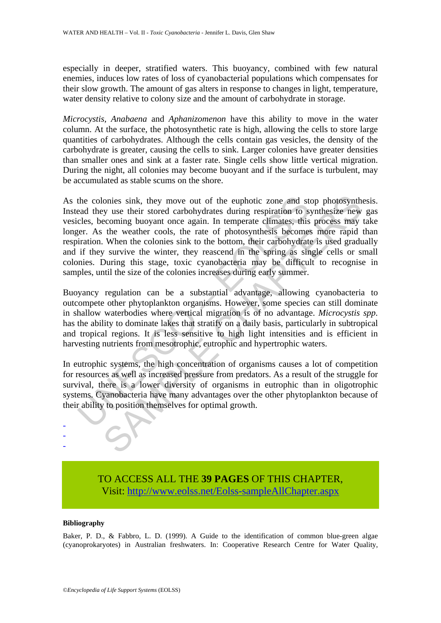especially in deeper, stratified waters. This buoyancy, combined with few natural enemies, induces low rates of loss of cyanobacterial populations which compensates for their slow growth. The amount of gas alters in response to changes in light, temperature, water density relative to colony size and the amount of carbohydrate in storage.

*Microcystis, Anabaena* and *Aphanizomenon* have this ability to move in the water column. At the surface, the photosynthetic rate is high, allowing the cells to store large quantities of carbohydrates. Although the cells contain gas vesicles, the density of the carbohydrate is greater, causing the cells to sink. Larger colonies have greater densities than smaller ones and sink at a faster rate. Single cells show little vertical migration. During the night, all colonies may become buoyant and if the surface is turbulent, may be accumulated as stable scums on the shore.

the colonies sink, they move out of the euphotic zone and stead they use their stored carbohydrates during respiration to scles, becoming buoyant once again. In temperate climates, this err. As the weather cools, the rate onies sink, they move out of the euphotic zone and stop photosynth<br>onies sink, they move out of the euphotic zone and stop photosynth<br>excellenge buoyant one again. In temperate climates, this process may<br>the weather cools, As the colonies sink, they move out of the euphotic zone and stop photosynthesis. Instead they use their stored carbohydrates during respiration to synthesize new gas vesicles, becoming buoyant once again. In temperate climates, this process may take longer. As the weather cools, the rate of photosynthesis becomes more rapid than respiration. When the colonies sink to the bottom, their carbohydrate is used gradually and if they survive the winter, they reascend in the spring as single cells or small colonies. During this stage, toxic cyanobacteria may be difficult to recognise in samples, until the size of the colonies increases during early summer.

Buoyancy regulation can be a substantial advantage, allowing cyanobacteria to outcompete other phytoplankton organisms. However, some species can still dominate in shallow waterbodies where vertical migration is of no advantage. *Microcystis spp*. has the ability to dominate lakes that stratify on a daily basis, particularly in subtropical and tropical regions. It is less sensitive to high light intensities and is efficient in harvesting nutrients from mesotrophic, eutrophic and hypertrophic waters.

In eutrophic systems, the high concentration of organisms causes a lot of competition for resources as well as increased pressure from predators. As a result of the struggle for survival, there is a lower diversity of organisms in eutrophic than in oligotrophic systems. Cyanobacteria have many advantages over the other phytoplankton because of their ability to position themselves for optimal growth.

> TO ACCESS ALL THE **39 PAGES** OF THIS CHAPTER, Visit[: http://www.eolss.net/Eolss-sampleAllChapter.aspx](https://www.eolss.net/ebooklib/sc_cart.aspx?File=E2-20A-05-04)

#### **Bibliography**

- - -

Baker, P. D., & Fabbro, L. D. (1999). A Guide to the identification of common blue-green algae (cyanoprokaryotes) in Australian freshwaters. In: Cooperative Research Centre for Water Quality,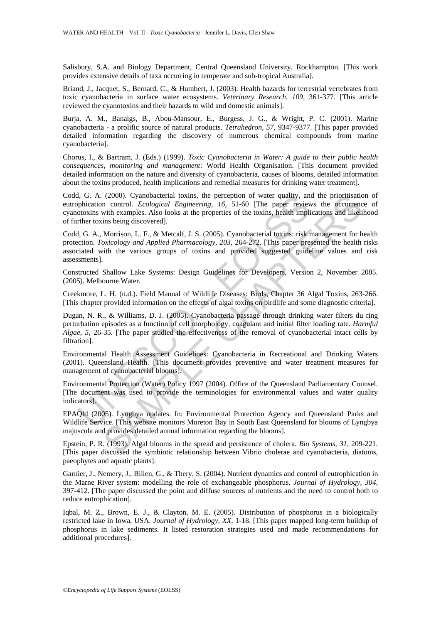Salisbury, S.A. and Biology Department, Central Queensland University, Rockhampton. [This work provides extensive details of taxa occurring in temperate and sub-tropical Australia].

Briand, J., Jacquet, S., Bernard, C., & Humbert, J. (2003). Health hazards for terrestrial vertebrates from toxic cyanobacteria in surface water ecosystems. *Veterinary Research, 109,* 361-377. [This article reviewed the cyanotoxins and their hazards to wild and domestic animals].

Burja, A. M., Banaigs, B., Abou-Mansour, E., Burgess, J. G., & Wright, P. C. (2001). Marine cyanobacteria - a prolific source of natural products. *Tetrahedron, 57,* 9347-9377. [This paper provided detailed information regarding the discovery of numerous chemical compounds from marine cyanobacteria].

Chorus, I., & Bartram, J. (Eds.) (1999). *Toxic Cyanobacteria in Water: A guide to their public health consequences, monitoring and management*: World Health Organisation. [This document provided detailed information on the nature and diversity of cyanobacteria, causes of blooms, detailed information about the toxins produced, health implications and remedial measures for drinking water treatment].

Codd, G. A. (2000). Cyanobacterial toxins, the perception of water quality, and the prioritisation of eutrophication control. *Ecological Engineering, 16,* 51-60 [The paper reviews the occurrence of cyanotoxins with examples. Also looks at the properties of the toxins, health implications and likelihood of further toxins being discovered].

I, G. A. (2000). Cyanobacterial toxins, the perception of water quality, an<br>otical of the A. (2000). Chaptactering, 16, 51-60 [The paper review<br>otoxins with examples. Also looks at the properties of the toxins, health impl (2000). Cyanobacterial toxins, the perception of water quality, and the prioristation<br>an control. *Ecological* Engineering, 16, 51-60 [The paper reviews the occurrency<br>with examples. Also looks at the properties of the to Codd, G. A., Morrison, L. F., & Metcalf, J. S. (2005). Cyanobacterial toxins: risk management for health protection. *Toxicology and Applied Pharmacology, 203,* 264-272. [This paper presented the health risks associated with the various groups of toxins and provided suggested guideline values and risk assessments].

Constructed Shallow Lake Systems: Design Guidelines for Developers, Version 2, November 2005. (2005). Melbourne Water.

Creekmore, L. H. (n.d.). Field Manual of Wildlife Diseases: Birds, Chapter 36 Algal Toxins*,* 263-266. [This chapter provided information on the effects of algal toxins on birdlife and some diagnostic criteria].

Dugan, N. R., & Williams, D. J. (2005). Cyanobacteria passage through drinking water filters du ring perturbation episodes as a function of cell morphology, coagulant and initial filter loading rate. *Harmful Algae, 5,* 26-35. [The paper studied the effectiveness of the removal of cyanobacterial intact cells by filtration].

Environmental Health Assessment Guidelines: Cyanobacteria in Recreational and Drinking Waters (2001). Queensland Health. [This document provides preventive and water treatment measures for management of cyanobacterial blooms].

Environmental Protection (Water) Policy 1997 (2004). Office of the Queensland Parliamentary Counsel. [The document was used to provide the terminologies for environmental values and water quality indicators].

EPAQld (2005). Lyngbya updates. In: Environmental Protection Agency and Queensland Parks and Wildlife Service. [This website monitors Moreton Bay in South East Queensland for blooms of Lyngbya majuscula and provides detailed annual information regarding the blooms].

Epstein, P. R. (1993). Algal blooms in the spread and persistence of cholera. *Bio Systems, 31,* 209-221. [This paper discussed the symbiotic relationship between Vibrio cholerae and cyanobacteria, diatoms, paeophytes and aquatic plants].

Garnier, J., Nemery, J., Billen, G., & Thery, S. (2004). Nutrient dynamics and control of eutrophication in the Marne River system: modelling the role of exchangeable phosphorus. *Journal of Hydrology, 304,* 397-412. [The paper discussed the point and diffuse sources of nutrients and the need to control both to reduce eutrophication].

Iqbal, M. Z., Brown, E. J., & Clayton, M. E. (2005). Distribution of phosphorus in a biologically restricted lake in Iowa, USA. *Journal of Hydrology, XX,* 1-18. [This paper mapped long-term buildup of phosphorus in lake sediments. It listed restoration strategies used and made recommendations for additional procedures].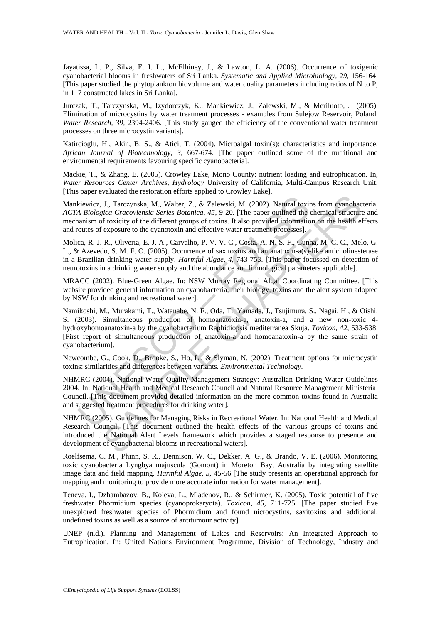Jayatissa, L. P., Silva, E. I. L., McElhiney, J., & Lawton, L. A. (2006). Occurrence of toxigenic cyanobacterial blooms in freshwaters of Sri Lanka. *Systematic and Applied Microbiology, 29,* 156-164. [This paper studied the phytoplankton biovolume and water quality parameters including ratios of N to P, in 117 constructed lakes in Sri Lanka].

Jurczak, T., Tarczynska, M., Izydorczyk, K., Mankiewicz, J., Zalewski, M., & Meriluoto, J. (2005). Elimination of microcystins by water treatment processes - examples from Sulejow Reservoir, Poland. *Water Research, 39,* 2394-2406. [This study gauged the efficiency of the conventional water treatment processes on three microcystin variants].

Katircioglu, H., Akin, B. S., & Atici, T. (2004). Microalgal toxin(s): characteristics and importance. *African Journal of Biotechnology, 3,* 667-674. [The paper outlined some of the nutritional and environmental requirements favouring specific cyanobacteria].

Mackie, T., & Zhang, E. (2005). Crowley Lake, Mono County: nutrient loading and eutrophication. In, *Water Resources Center Archives, Hydrology* University of California, Multi-Campus Research Unit. [This paper evaluated the restoration efforts applied to Crowley Lake].

Mankiewicz, J., Tarczynska, M., Walter, Z., & Zalewski, M. (2002). Natural toxins from cyanobacteria. *ACTA Biologica Cracoviensia Series Botanica, 45,* 9-20. [The paper outlined the chemical structure and mechanism of toxicity of the different groups of toxins. It also provided information on the health effects and routes of exposure to the cyanotoxin and effective water treatment processes].

Molica, R. J. R., Oliveria, E. J. A., Carvalho, P. V. V. C., Costa, A. N. S. F., Cunha, M. C. C., Melo, G. L., & Azevedo, S. M. F. O. (2005). Occurrence of saxitoxins and an anatoxin-a(s)-like anticholinesterase in a Brazilian drinking water supply. *Harmful Algae, 4,* 743-753. [This paper focussed on detection of neurotoxins in a drinking water supply and the abundance and limnological parameters applicable].

MRACC (2002). Blue-Green Algae. In: NSW Murray Regional Algal Coordinating Committee. [This website provided general information on cyanobacteria, their biology, toxins and the alert system adopted by NSW for drinking and recreational water].

<sup>1</sup>. Harca Constantion and effective and Mather, 2. A. California Harca Asiologica Cracoviensia Series Botanica, 45, 9-20. [The paper outlined the damism of toxicity of the different groups of toxins. It also provided info J., Tarczynska, M., Walter, Z., & Zalewski, M. (2002). Natural toxins from eyanobacica Cracoviensia Series Botanica, 45, 9-20. [The paper outlined the chemical structure of toxicity of the different groups of toxins. It al Namikoshi, M., Murakami, T., Watanabe, N. F., Oda, T., Yamada, J., Tsujimura, S., Nagai, H., & Oishi, S. (2003). Simultaneous production of homoanatoxin-a, anatoxin-a, and a new non-toxic 4 hydroxyhomoanatoxin-a by the cyanobacterium Raphidiopsis mediterranea Skuja. *Toxicon, 42,* 533-538. [First report of simultaneous production of anatoxin-a and homoanatoxin-a by the same strain of cyanobacterium].

Newcombe, G., Cook, D., Brooke, S., Ho, L., & Slyman, N. (2002). Treatment options for microcystin toxins: similarities and differences between variants. *Environmental Technology*.

NHMRC (2004). National Water Quality Management Strategy: Australian Drinking Water Guidelines 2004. In: National Health and Medical Research Council and Natural Resource Management Ministerial Council. [This document provided detailed information on the more common toxins found in Australia and suggested treatment procedures for drinking water].

NHMRC (2005). Guidelines for Managing Risks in Recreational Water. In: National Health and Medical Research Council. [This document outlined the health effects of the various groups of toxins and introduced the National Alert Levels framework which provides a staged response to presence and development of cyanobacterial blooms in recreational waters].

Roelfsema, C. M., Phinn, S. R., Dennison, W. C., Dekker, A. G., & Brando, V. E. (2006). Monitoring toxic cyanobacteria Lyngbya majuscula (Gomont) in Moreton Bay, Australia by integrating satellite image data and field mapping. *Harmful Algae, 5,* 45-56 [The study presents an operational approach for mapping and monitoring to provide more accurate information for water management].

Teneva, I., Dzhambazov, B., Koleva, L., Mladenov, R., & Schirmer, K. (2005). Toxic potential of five freshwater Phormidium species (cyanoprokaryota). *Toxicon, 45,* 711-725. [The paper studied five unexplored freshwater species of Phormidium and found nicrocystins, saxitoxins and additional, undefined toxins as well as a source of antitumour activity].

UNEP (n.d.). Planning and Management of Lakes and Reservoirs: An Integrated Approach to Eutrophication. In: United Nations Environment Programme, Division of Technology, Industry and